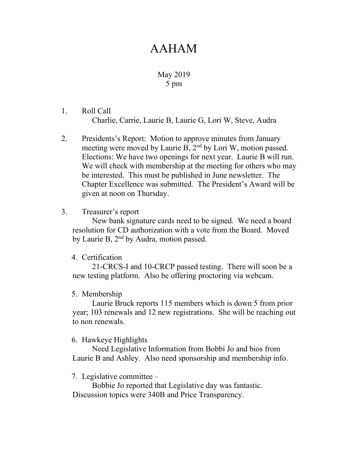# AAHAM

## May 2019 5 pm

- 1. Roll Call Charlie, Carrie, Laurie B, Laurie G, Lori W, Steve, Audra
- 2. Presidents's Report: Motion to approve minutes from January meeting were moved by Laurie B, 2<sup>nd</sup> by Lori W, motion passed. Elections: We have two openings for next year. Laurie B will run. We will check with membership at the meeting for others who may be interested. This must be published in June newsletter. The Chapter Excellence was submitted. The President's Award will be given at noon on Thursday.

### 3. Treasurer's report

New bank signature cards need to be signed. We need a board resolution for CD authorization with a vote from the Board. Moved by Laurie B, 2<sup>nd</sup> by Audra, motion passed.

### 4. Certification

21-CRCS-I and 10-CRCP passed testing. There will soon be a new testing platform. Also be offering proctoring via webcam.

### 5. Membership

Laurie Bruck reports 115 members which is down 5 from prior year; 103 renewals and 12 new registrations. She will be reaching out to non renewals.

### 6. Hawkeye Highlights

Need Legislative Information from Bobbi Jo and bios from Laurie B and Ashley. Also need sponsorship and membership info.

### 7. Legislative committee –

Bobbie Jo reported that Legislative day was fantastic. Discussion topics were 340B and Price Transparency.